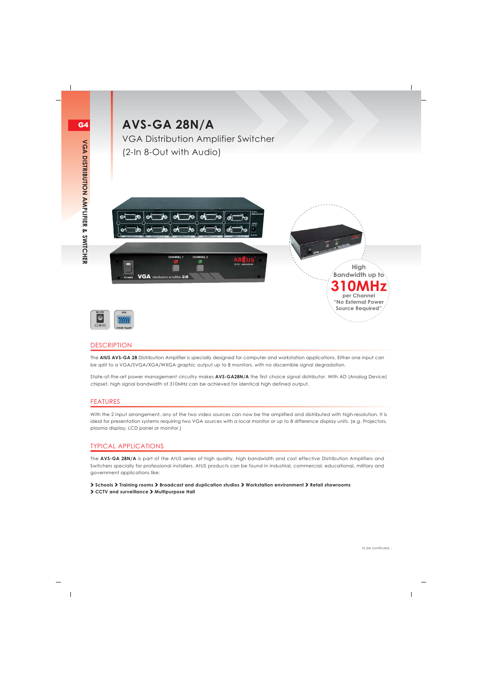# AVS-GA 28N/A

VGA Distribution Amplifier Switcher (2-In 8-Out with Audio)



### **DESCRIPTION**

The AtUS AVS-GA 28 Distribution Amplifier is specially designed for computer and workstation applications. Either one input can be split to a VGA/SVGA/XGA/WXGA graphic output up to 8 monitors, with no discernible signal degradation.

State-of-the-art power management circuitry makes AVS-GA28N/A the first choice signal distributor. With AD (Analog Device) chipset, high signal bandwidth of 310MHz can be achieved for identical high defined output.

### **FEATURES**

With the 2 input arrangement, any of the two video sources can now be the amplified and distributed with high-resolution. It is ideal for presentation systems requiring two VGA sources with a local monitor or up to 8 difference display units. (e.g. Projectors, plasma display, LCD panel or monitor.)

#### **TYPICAL APPLICATIONS**

The AVS-GA 28N/A is part of the AtUS series of high quality, high bandwidth and cost effective Distribution Amplifiers and Switchers specially for professional installers. AtUS products can be found in industrial, commercial, educational, military and government applications like:

> Schools > Training rooms > Broadcast and duplication studios > Workstation environment > Retail showrooms > CCTV and surveillance > Multipurpose Hall